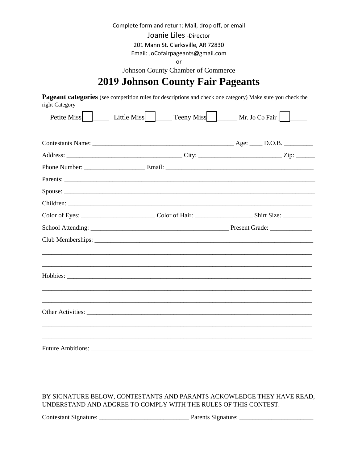Complete form and return: Mail, drop off, or email

Joanie Liles - Director

201 Mann St. Clarksville, AR 72830

Email: JoCofairpageants@gmail.com

or

Johnson County Chamber of Commerce

# **2019 Johnson County Fair Pageants**

Pageant categories (see competition rules for descriptions and check one category) Make sure you check the right Category

| Petite Miss | Little Miss $\Box$ | Teeny Miss Mr. Jo Co Fair |
|-------------|--------------------|---------------------------|
|             |                    |                           |
|             |                    |                           |
|             |                    |                           |
|             |                    |                           |
|             |                    |                           |
|             |                    |                           |
|             |                    |                           |
|             |                    |                           |
|             |                    |                           |
|             |                    |                           |
|             |                    |                           |
|             |                    |                           |
|             |                    |                           |
|             |                    |                           |
|             |                    |                           |

#### BY SIGNATURE BELOW, CONTESTANTS AND PARANTS ACKOWLEDGE THEY HAVE READ, UNDERSTAND AND ADGREE TO COMPLY WITH THE RULES OF THIS CONTEST.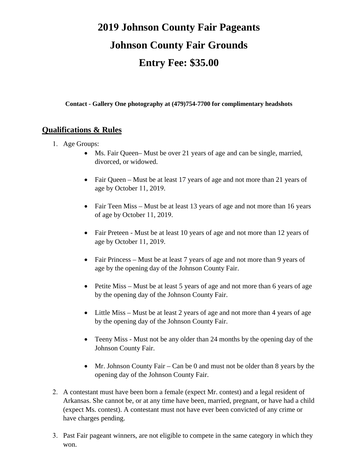# **2019 Johnson County Fair Pageants Johnson County Fair Grounds Entry Fee: \$35.00**

**Contact - Gallery One photography at (479)754-7700 for complimentary headshots** 

#### **Qualifications & Rules**

- 1. Age Groups:
	- Ms. Fair Queen– Must be over 21 years of age and can be single, married, divorced, or widowed.
	- Fair Queen Must be at least 17 years of age and not more than 21 years of age by October 11, 2019.
	- Fair Teen Miss Must be at least 13 years of age and not more than 16 years of age by October 11, 2019.
	- Fair Preteen Must be at least 10 years of age and not more than 12 years of age by October 11, 2019.
	- Fair Princess Must be at least 7 years of age and not more than 9 years of age by the opening day of the Johnson County Fair.
	- Petite Miss Must be at least 5 years of age and not more than 6 years of age by the opening day of the Johnson County Fair.
	- Little Miss Must be at least 2 years of age and not more than 4 years of age by the opening day of the Johnson County Fair.
	- Teeny Miss Must not be any older than 24 months by the opening day of the Johnson County Fair.
	- Mr. Johnson County Fair Can be 0 and must not be older than 8 years by the opening day of the Johnson County Fair.
- 2. A contestant must have been born a female (expect Mr. contest) and a legal resident of Arkansas. She cannot be, or at any time have been, married, pregnant, or have had a child (expect Ms. contest). A contestant must not have ever been convicted of any crime or have charges pending.
- 3. Past Fair pageant winners, are not eligible to compete in the same category in which they won.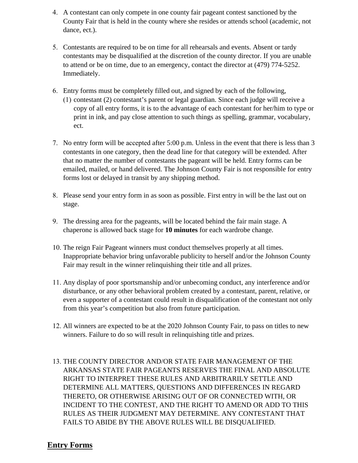- 4. A contestant can only compete in one county fair pageant contest sanctioned by the County Fair that is held in the county where she resides or attends school (academic, not dance, ect.).
- 5. Contestants are required to be on time for all rehearsals and events. Absent or tardy contestants may be disqualified at the discretion of the county director. If you are unable to attend or be on time, due to an emergency, contact the director at (479) 774-5252. Immediately.
- 6. Entry forms must be completely filled out, and signed by each of the following,
	- (1) contestant (2) contestant's parent or legal guardian. Since each judge will receive a copy of all entry forms, it is to the advantage of each contestant for her/him to type or print in ink, and pay close attention to such things as spelling, grammar, vocabulary, ect.
- 7. No entry form will be accepted after 5:00 p.m. Unless in the event that there is less than 3 contestants in one category, then the dead line for that category will be extended. After that no matter the number of contestants the pageant will be held. Entry forms can be emailed, mailed, or hand delivered. The Johnson County Fair is not responsible for entry forms lost or delayed in transit by any shipping method.
- 8. Please send your entry form in as soon as possible. First entry in will be the last out on stage.
- 9. The dressing area for the pageants, will be located behind the fair main stage. A chaperone is allowed back stage for **10 minutes** for each wardrobe change.
- 10. The reign Fair Pageant winners must conduct themselves properly at all times. Inappropriate behavior bring unfavorable publicity to herself and/or the Johnson County Fair may result in the winner relinquishing their title and all prizes.
- 11. Any display of poor sportsmanship and/or unbecoming conduct, any interference and/or disturbance, or any other behavioral problem created by a contestant, parent, relative, or even a supporter of a contestant could result in disqualification of the contestant not only from this year's competition but also from future participation.
- 12. All winners are expected to be at the 2020 Johnson County Fair, to pass on titles to new winners. Failure to do so will result in relinquishing title and prizes.
- 13. THE COUNTY DIRECTOR AND/OR STATE FAIR MANAGEMENT OF THE ARKANSAS STATE FAIR PAGEANTS RESERVES THE FINAL AND ABSOLUTE RIGHT TO INTERPRET THESE RULES AND ARBITRARILY SETTLE AND DETERMINE ALL MATTERS, QUESTIONS AND DIFFERENCES IN REGARD THERETO, OR OTHERWISE ARISING OUT OF OR CONNECTED WITH, OR INCIDENT TO THE CONTEST, AND THE RIGHT TO AMEND OR ADD TO THIS RULES AS THEIR JUDGMENT MAY DETERMINE. ANY CONTESTANT THAT FAILS TO ABIDE BY THE ABOVE RULES WILL BE DISQUALIFIED.

#### **Entry Forms**